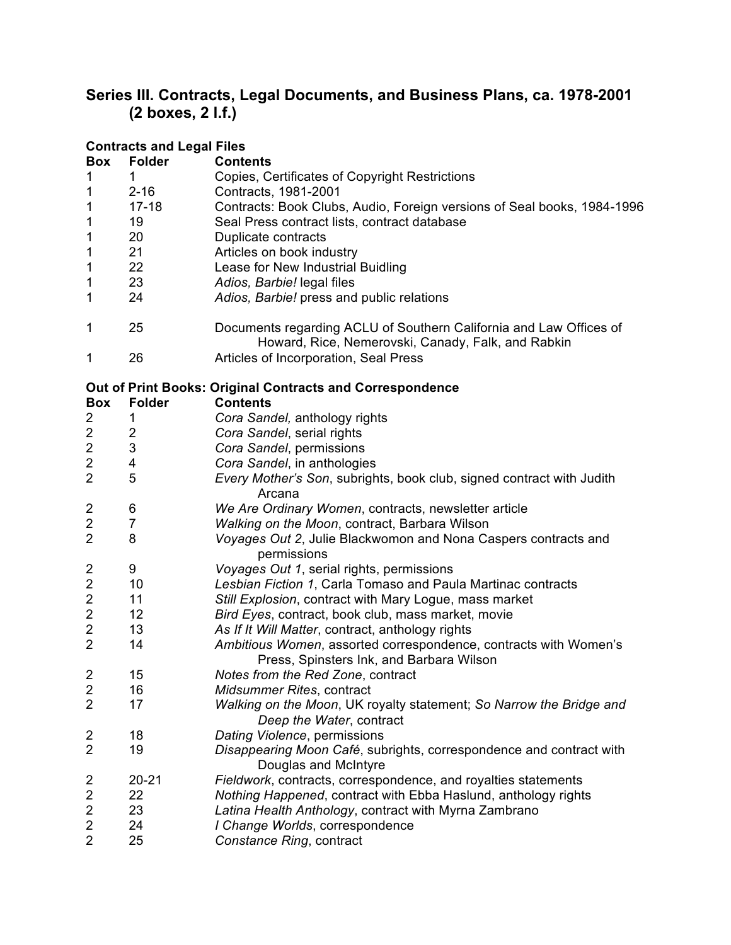## **Series III. Contracts, Legal Documents, and Business Plans, ca. 1978-2001 (2 boxes, 2 l.f.)**

|                         | <b>Contracts and Legal Files</b> |                                                                                                                          |
|-------------------------|----------------------------------|--------------------------------------------------------------------------------------------------------------------------|
| <b>Box</b>              | <b>Folder</b>                    | <b>Contents</b>                                                                                                          |
| 1                       | 1                                | Copies, Certificates of Copyright Restrictions                                                                           |
| 1                       | $2 - 16$                         | Contracts, 1981-2001                                                                                                     |
| 1                       | $17 - 18$                        | Contracts: Book Clubs, Audio, Foreign versions of Seal books, 1984-1996                                                  |
| 1                       | 19                               | Seal Press contract lists, contract database                                                                             |
| 1                       | 20                               | Duplicate contracts                                                                                                      |
| 1                       | 21                               | Articles on book industry                                                                                                |
| $\mathbf 1$             | 22                               | Lease for New Industrial Buidling                                                                                        |
| 1                       | 23                               | Adios, Barbie! legal files                                                                                               |
| 1                       | 24                               | Adios, Barbie! press and public relations                                                                                |
| 1                       | 25                               | Documents regarding ACLU of Southern California and Law Offices of<br>Howard, Rice, Nemerovski, Canady, Falk, and Rabkin |
| 1                       | 26                               | Articles of Incorporation, Seal Press                                                                                    |
|                         |                                  | <b>Out of Print Books: Original Contracts and Correspondence</b>                                                         |
| <b>Box</b>              | <b>Folder</b>                    | <b>Contents</b>                                                                                                          |
| 2                       | 1                                | Cora Sandel, anthology rights                                                                                            |
| $\overline{\mathbf{c}}$ | $\overline{c}$                   | Cora Sandel, serial rights                                                                                               |
| $\boldsymbol{2}$        | 3                                | Cora Sandel, permissions                                                                                                 |
| $\overline{c}$          | 4                                | Cora Sandel, in anthologies                                                                                              |
| $\overline{2}$          | 5                                | Every Mother's Son, subrights, book club, signed contract with Judith<br>Arcana                                          |
| $\overline{\mathbf{c}}$ | 6                                | We Are Ordinary Women, contracts, newsletter article                                                                     |
| $\overline{c}$          | $\overline{7}$                   | Walking on the Moon, contract, Barbara Wilson                                                                            |
| $\overline{2}$          | 8                                | Voyages Out 2, Julie Blackwomon and Nona Caspers contracts and<br>permissions                                            |
| 2                       | 9                                | Voyages Out 1, serial rights, permissions                                                                                |
| $\overline{\mathbf{c}}$ | 10                               | Lesbian Fiction 1, Carla Tomaso and Paula Martinac contracts                                                             |
| $\overline{c}$          | 11                               | Still Explosion, contract with Mary Logue, mass market                                                                   |
| $\overline{\mathbf{c}}$ | 12                               | Bird Eyes, contract, book club, mass market, movie                                                                       |
| $\overline{c}$          | 13                               | As If It Will Matter, contract, anthology rights                                                                         |
| $\overline{2}$          | 14                               | Ambitious Women, assorted correspondence, contracts with Women's<br>Press, Spinsters Ink, and Barbara Wilson             |
| $\overline{\mathbf{c}}$ | 15                               | Notes from the Red Zone, contract                                                                                        |
| $\overline{c}$          | 16                               | Midsummer Rites, contract                                                                                                |
| $\overline{2}$          | 17                               | Walking on the Moon, UK royalty statement; So Narrow the Bridge and<br>Deep the Water, contract                          |
| $\overline{\mathbf{c}}$ | 18                               | Dating Violence, permissions                                                                                             |
| $\overline{2}$          | 19                               | Disappearing Moon Café, subrights, correspondence and contract with<br>Douglas and McIntyre                              |
| 2                       | $20 - 21$                        | Fieldwork, contracts, correspondence, and royalties statements                                                           |
| $\overline{\mathbf{c}}$ | 22                               | Nothing Happened, contract with Ebba Haslund, anthology rights                                                           |
| $\overline{\mathbf{c}}$ | 23                               | Latina Health Anthology, contract with Myrna Zambrano                                                                    |
| $\overline{c}$          | 24                               | I Change Worlds, correspondence                                                                                          |
| $\overline{2}$          | 25                               | Constance Ring, contract                                                                                                 |
|                         |                                  |                                                                                                                          |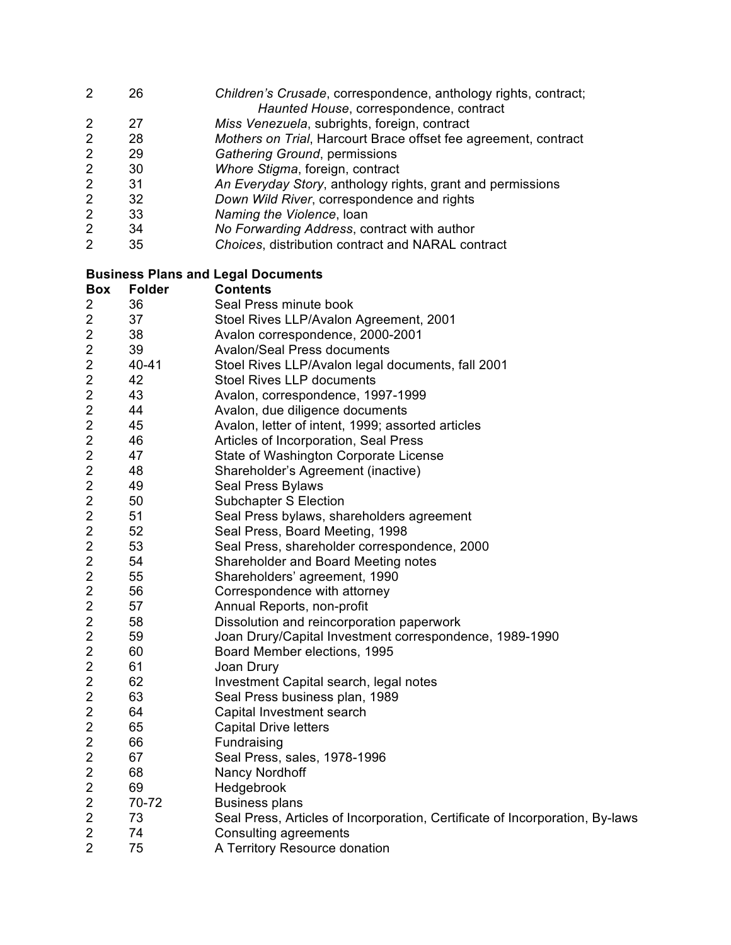- 26 *Children's Crusade*, correspondence, anthology rights, contract; *Haunted House*, correspondence, contract
- 27 *Miss Venezuela*, subrights, foreign, contract
- 28 *Mothers on Trial*, Harcourt Brace offset fee agreement, contract
- 29 *Gathering Ground*, permissions
- 30 *Whore Stigma*, foreign, contract
- 31 *An Everyday Story*, anthology rights, grant and permissions
- 32 *Down Wild River*, correspondence and rights
- 33 *Naming the Violence*, loan
- 34 *No Forwarding Address*, contract with author
- 35 *Choices*, distribution contract and NARAL contract

## **Business Plans and Legal Documents**

| <b>Box</b>              | <b>Folder</b> | <b>Contents</b>                                                              |  |
|-------------------------|---------------|------------------------------------------------------------------------------|--|
| 2                       | 36            | Seal Press minute book                                                       |  |
| 2                       | 37            | Stoel Rives LLP/Avalon Agreement, 2001                                       |  |
| 2                       | 38            | Avalon correspondence, 2000-2001                                             |  |
| $\overline{2}$          | 39            | <b>Avalon/Seal Press documents</b>                                           |  |
| 2                       | 40-41         | Stoel Rives LLP/Avalon legal documents, fall 2001                            |  |
| 2                       | 42            | <b>Stoel Rives LLP documents</b>                                             |  |
| $\overline{c}$          | 43            | Avalon, correspondence, 1997-1999                                            |  |
| $\overline{2}$          | 44            | Avalon, due diligence documents                                              |  |
| $\overline{2}$          | 45            | Avalon, letter of intent, 1999; assorted articles                            |  |
| $\overline{c}$          | 46            | Articles of Incorporation, Seal Press                                        |  |
| $\overline{2}$          | 47            | State of Washington Corporate License                                        |  |
| 2                       | 48            | Shareholder's Agreement (inactive)                                           |  |
| 2                       | 49            | <b>Seal Press Bylaws</b>                                                     |  |
| 2                       | 50            | <b>Subchapter S Election</b>                                                 |  |
| 2                       | 51            | Seal Press bylaws, shareholders agreement                                    |  |
| $\overline{2}$          | 52            | Seal Press, Board Meeting, 1998                                              |  |
| $\overline{2}$          | 53            | Seal Press, shareholder correspondence, 2000                                 |  |
| 2                       | 54            | Shareholder and Board Meeting notes                                          |  |
| 2                       | 55            | Shareholders' agreement, 1990                                                |  |
| 2                       | 56            | Correspondence with attorney                                                 |  |
| 2                       | 57            | Annual Reports, non-profit                                                   |  |
| $\overline{2}$          | 58            | Dissolution and reincorporation paperwork                                    |  |
| $\overline{c}$          | 59            | Joan Drury/Capital Investment correspondence, 1989-1990                      |  |
| $\overline{2}$          | 60            | Board Member elections, 1995                                                 |  |
| 2                       | 61            | Joan Drury                                                                   |  |
| 2                       | 62            | Investment Capital search, legal notes                                       |  |
| 2                       | 63            | Seal Press business plan, 1989                                               |  |
| $\overline{\mathbf{c}}$ | 64            | Capital Investment search                                                    |  |
| $\overline{\mathbf{c}}$ | 65            | <b>Capital Drive letters</b>                                                 |  |
| $\overline{2}$          | 66            | Fundraising                                                                  |  |
| $\overline{c}$          | 67            | Seal Press, sales, 1978-1996                                                 |  |
| $\overline{c}$          | 68            | Nancy Nordhoff                                                               |  |
| $\overline{c}$          | 69            | Hedgebrook                                                                   |  |
| $\overline{c}$          | 70-72         | <b>Business plans</b>                                                        |  |
| $\overline{2}$          | 73            | Seal Press, Articles of Incorporation, Certificate of Incorporation, By-laws |  |
| $\overline{c}$          | 74            | Consulting agreements                                                        |  |
| $\overline{2}$          | 75            | A Territory Resource donation                                                |  |
|                         |               |                                                                              |  |